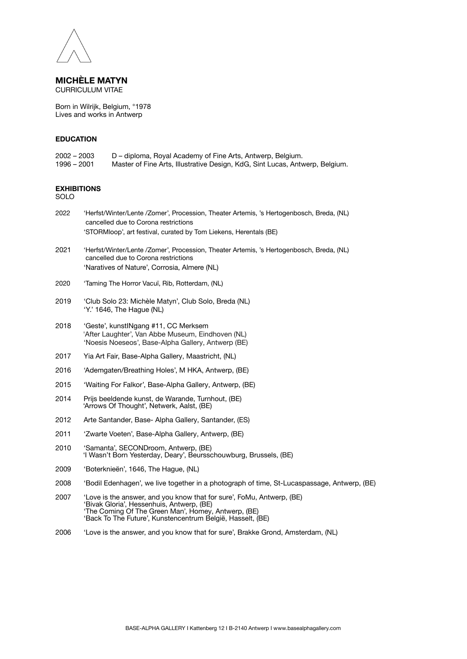

**MICHÈLE MATYN** CURRICULUM VITAE

Born in Wilrijk, Belgium, °1978 Lives and works in Antwerp

## **EDUCATION**

| $2002 - 2003$ | D – diploma, Royal Academy of Fine Arts, Antwerp, Belgium.                   |
|---------------|------------------------------------------------------------------------------|
| 1996 – 2001   | Master of Fine Arts, Illustrative Design, KdG, Sint Lucas, Antwerp, Belgium. |

## **EXHIBITIONS**

SOLO

- 2022 'Herfst/Winter/Lente /Zomer', Procession, Theater Artemis, 's Hertogenbosch, Breda, (NL) cancelled due to Corona restrictions 'STORMloop', art festival, curated by Tom Liekens, Herentals (BE)
- 2021 'Herfst/Winter/Lente /Zomer', Procession, Theater Artemis, 's Hertogenbosch, Breda, (NL) cancelled due to Corona restrictions 'Naratives of Nature', Corrosia, Almere (NL)
- 2020 'Taming The Horror Vacuï, Rib, Rotterdam, (NL)
- 2019 'Club Solo 23: Michèle Matyn', Club Solo, Breda (NL) 'Y.' 1646, The Hague (NL)
- 2018 'Geste', kunstINgang #11, CC Merksem 'After Laughter', Van Abbe Museum, Eindhoven (NL) 'Noesis Noeseos', Base-Alpha Gallery, Antwerp (BE)
- 2017 Yia Art Fair, Base-Alpha Gallery, Maastricht, (NL)
- 2016 'Ademgaten/Breathing Holes', M HKA, Antwerp, (BE)
- 2015 'Waiting For Falkor', Base-Alpha Gallery, Antwerp, (BE)
- 2014 Prijs beeldende kunst, de Warande, Turnhout, (BE) 'Arrows Of Thought', Netwerk, Aalst, (BE)
- 2012 Arte Santander, Base- Alpha Gallery, Santander, (ES)
- 2011 'Zwarte Voeten', Base-Alpha Gallery, Antwerp, (BE)
- 2010 'Samanta', SECONDroom, Antwerp, (BE) 'I Wasn't Born Yesterday, Deary', Beursschouwburg, Brussels, (BE)
- 2009 'Boterknieën', 1646, The Hague, (NL)
- 2008 'Bodil Edenhagen', we live together in a photograph of time, St-Lucaspassage, Antwerp, (BE)
- 2007 'Love is the answer, and you know that for sure', FoMu, Antwerp, (BE) 'Bivak Gloria', Hessenhuis, Antwerp, (BE) 'The Coming Of The Green Man', Homey, Antwerp, (BE) 'Back To The Future', Kunstencentrum België, Hasselt, (BE)
- 2006 'Love is the answer, and you know that for sure', Brakke Grond, Amsterdam, (NL)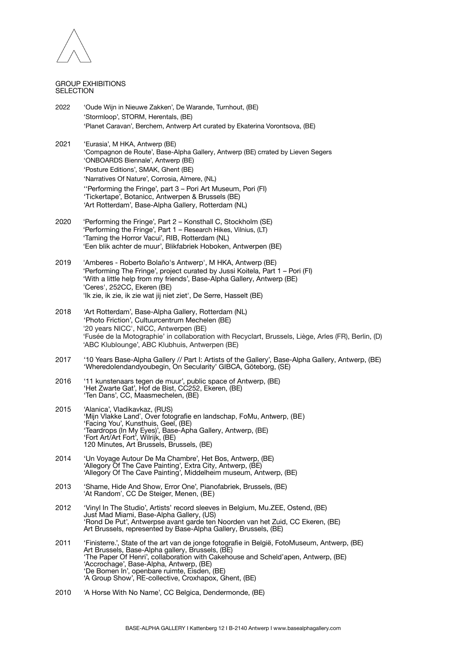

## GROUP EXHIBITIONS SEL ECTION

- 2022 'Oude Wijn in Nieuwe Zakken', De Warande, Turnhout, (BE) 'Stormloop', STORM, Herentals, (BE) 'Planet Caravan', Berchem, Antwerp Art curated by Ekaterina Vorontsova, (BE)
- 2021 'Eurasia', M HKA, Antwerp (BE) 'Compagnon de Route', Base-Alpha Gallery, Antwerp (BE) crrated by Lieven Segers 'ONBOARDS Biennale', Antwerp (BE) 'Posture Editions', SMAK, Ghent (BE) 'Narratives Of Nature', Corrosia, Almere, (NL) ''Performing the Fringe', part 3 – Pori Art Museum, Pori (FI) 'Tickertape', Botanicc, Antwerpen & Brussels (BE) 'Art Rotterdam', Base-Alpha Gallery, Rotterdam (NL)
- 2020 'Performing the Fringe', Part 2 Konsthall C, Stockholm (SE) 'Performing the Fringe', Part 1 – Research Hikes, Vilnius, (LT) 'Taming the Horror Vacui', RIB, Rotterdam (NL) 'Een blik achter de muur', Blikfabriek Hoboken, Antwerpen (BE)
- 2019 'Amberes Roberto Bolaño's Antwerp', M HKA, Antwerp (BE) 'Performing The Fringe', project curated by Jussi Koitela, Part 1 – Pori (FI) 'With a little help from my friends', Base-Alpha Gallery, Antwerp (BE) 'Ceres', 252CC, Ekeren (BE) 'Ik zie, ik zie, ik zie wat jij niet ziet', De Serre, Hasselt (BE)
- 2018 'Art Rotterdam', Base-Alpha Gallery, Rotterdam (NL) 'Photo Friction', Cultuurcentrum Mechelen (BE) '20 years NICC', NICC, Antwerpen (BE) 'Fusée de la Motographie' in collaboration with Recyclart, Brussels, Liège, Arles (FR), Berlin, (D) 'ABC Klublounge', ABC Klubhuis, Antwerpen (BE)
- 2017 '10 Years Base-Alpha Gallery // Part I: Artists of the Gallery', Base-Alpha Gallery, Antwerp, (BE) 'Wheredolendandyoubegin, On Secularity' GIBCA, Göteborg, (SE)
- 2016 '11 kunstenaars tegen de muur', public space of Antwerp, (BE) 'Het Zwarte Gat', Hof de Bist, CC252, Ekeren, (BE) 'Ten Dans', CC, Maasmechelen, (BE)
- 2015 'Alanica', Vladikavkaz, (RUS) 'Mijn Vlakke Land', Over fotografie en landschap, FoMu, Antwerp, (BE) 'Facing You', Kunsthuis, Geel, (BE) 'Teardrops (In My Eyes)', Base-Apha Gallery, Antwerp, (BE) 'Fort Art/Art Fort', Wilrijk, (BE) 120 Minutes, Art Brussels, Brussels, (BE)
- 2014 'Un Voyage Autour De Ma Chambre', Het Bos, Antwerp, (BE) 'Allegory Of The Cave Painting', Extra City, Antwerp, (BE) 'Allegory Of The Cave Painting', Middelheim museum, Antwerp, (BE)
- 2013 'Shame, Hide And Show, Error One', Pianofabriek, Brussels, (BE) 'At Random', CC De Steiger, Menen, (BE)
- 2012 'Vinyl In The Studio', Artists' record sleeves in Belgium, Mu.ZEE, Ostend, (BE) Just Mad Miami, Base-Alpha Gallery, (US) 'Rond De Put', Antwerpse avant garde ten Noorden van het Zuid, CC Ekeren, (BE) Art Brussels, represented by Base-Alpha Gallery, Brussels, (BE)
- 2011 'Finisterre.', State of the art van de jonge fotografie in België, FotoMuseum, Antwerp, (BE) Art Brussels, Base-Alpha gallery, Brussels, (BE) 'The Paper Of Henri', collaboration with Cakehouse and Scheld'apen, Antwerp, (BE) 'Accrochage', Base-Alpha, Antwerp, (BE) 'De Bomen In', openbare ruimte, Eisden, (BE) 'A Group Show', RE-collective, Croxhapox, Ghent, (BE)
- 2010 'A Horse With No Name', CC Belgica, Dendermonde, (BE)